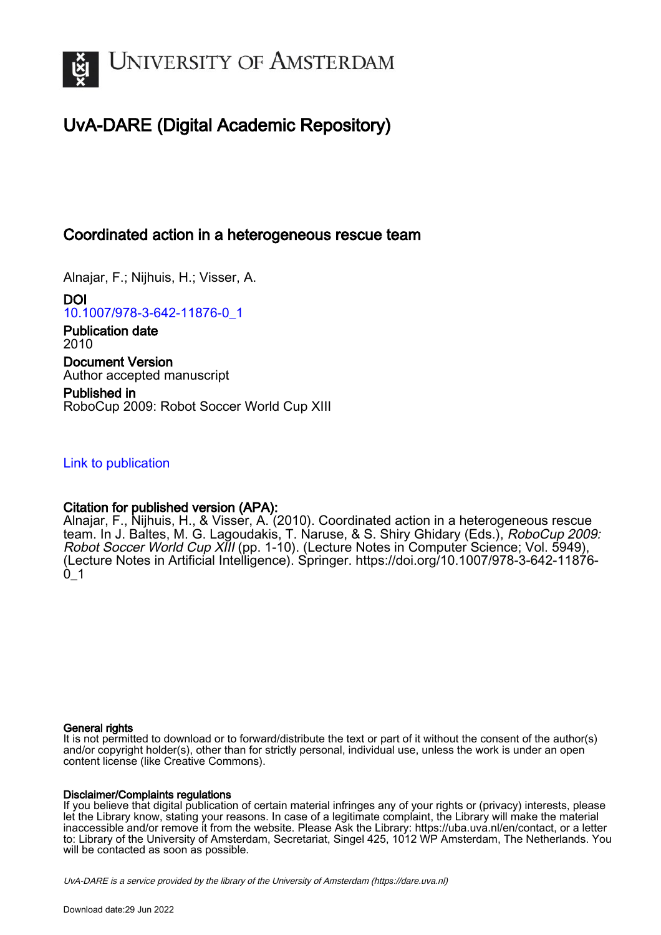

# UvA-DARE (Digital Academic Repository)

## Coordinated action in a heterogeneous rescue team

Alnajar, F.; Nijhuis, H.; Visser, A.

DOI [10.1007/978-3-642-11876-0\\_1](https://doi.org/10.1007/978-3-642-11876-0_1)

Publication date 2010 Document Version

Author accepted manuscript

Published in RoboCup 2009: Robot Soccer World Cup XIII

## [Link to publication](https://dare.uva.nl/personal/pure/en/publications/coordinated-action-in-a-heterogeneous-rescue-team(5beb4abd-2bd0-4531-84c9-cabf709d5c43).html)

## Citation for published version (APA):

Alnajar, F., Nijhuis, H., & Visser, A. (2010). Coordinated action in a heterogeneous rescue team. In J. Baltes, M. G. Lagoudakis, T. Naruse, & S. Shiry Ghidary (Eds.), RoboCup 2009: Robot Soccer World Cup XIII (pp. 1-10). (Lecture Notes in Computer Science; Vol. 5949), (Lecture Notes in Artificial Intelligence). Springer. [https://doi.org/10.1007/978-3-642-11876-](https://doi.org/10.1007/978-3-642-11876-0_1) [0\\_1](https://doi.org/10.1007/978-3-642-11876-0_1)

## General rights

It is not permitted to download or to forward/distribute the text or part of it without the consent of the author(s) and/or copyright holder(s), other than for strictly personal, individual use, unless the work is under an open content license (like Creative Commons).

## Disclaimer/Complaints regulations

If you believe that digital publication of certain material infringes any of your rights or (privacy) interests, please let the Library know, stating your reasons. In case of a legitimate complaint, the Library will make the material inaccessible and/or remove it from the website. Please Ask the Library: https://uba.uva.nl/en/contact, or a letter to: Library of the University of Amsterdam, Secretariat, Singel 425, 1012 WP Amsterdam, The Netherlands. You will be contacted as soon as possible.

UvA-DARE is a service provided by the library of the University of Amsterdam (http*s*://dare.uva.nl)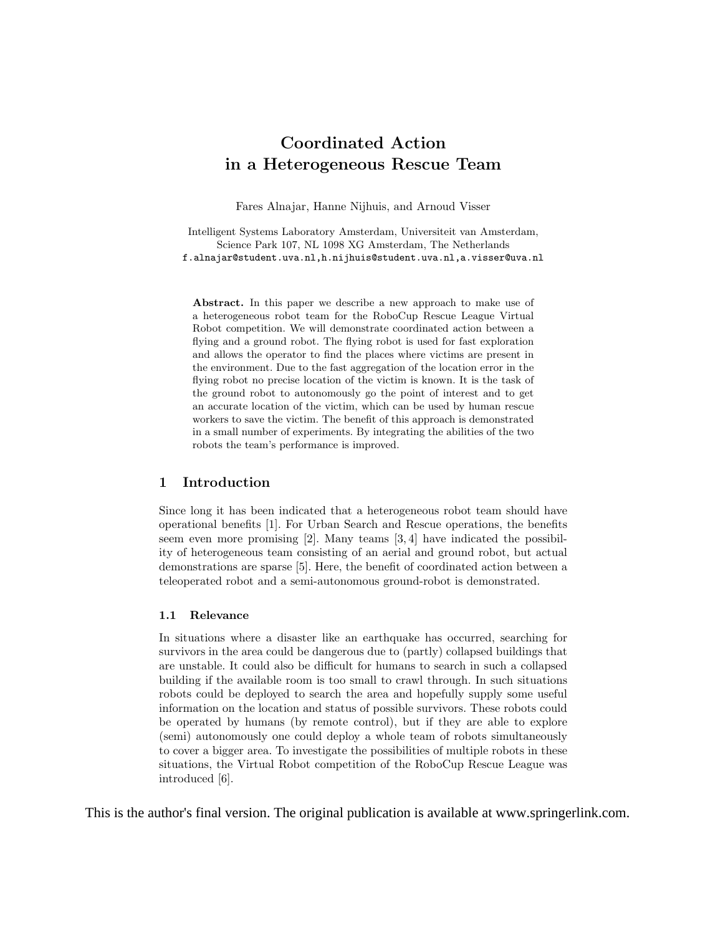## Coordinated Action in a Heterogeneous Rescue Team

Fares Alnajar, Hanne Nijhuis, and Arnoud Visser

Intelligent Systems Laboratory Amsterdam, Universiteit van Amsterdam, Science Park 107, NL 1098 XG Amsterdam, The Netherlands f.alnajar@student.uva.nl,h.nijhuis@student.uva.nl,a.visser@uva.nl

Abstract. In this paper we describe a new approach to make use of a heterogeneous robot team for the RoboCup Rescue League Virtual Robot competition. We will demonstrate coordinated action between a flying and a ground robot. The flying robot is used for fast exploration and allows the operator to find the places where victims are present in the environment. Due to the fast aggregation of the location error in the flying robot no precise location of the victim is known. It is the task of the ground robot to autonomously go the point of interest and to get an accurate location of the victim, which can be used by human rescue workers to save the victim. The benefit of this approach is demonstrated in a small number of experiments. By integrating the abilities of the two robots the team's performance is improved.

### 1 Introduction

Since long it has been indicated that a heterogeneous robot team should have operational benefits [1]. For Urban Search and Rescue operations, the benefits seem even more promising [2]. Many teams [3, 4] have indicated the possibility of heterogeneous team consisting of an aerial and ground robot, but actual demonstrations are sparse [5]. Here, the benefit of coordinated action between a teleoperated robot and a semi-autonomous ground-robot is demonstrated.

#### 1.1 Relevance

In situations where a disaster like an earthquake has occurred, searching for survivors in the area could be dangerous due to (partly) collapsed buildings that are unstable. It could also be difficult for humans to search in such a collapsed building if the available room is too small to crawl through. In such situations robots could be deployed to search the area and hopefully supply some useful information on the location and status of possible survivors. These robots could be operated by humans (by remote control), but if they are able to explore (semi) autonomously one could deploy a whole team of robots simultaneously to cover a bigger area. To investigate the possibilities of multiple robots in these situations, the Virtual Robot competition of the RoboCup Rescue League was introduced [6].

This is the author's final version. The original publication is available at [www.springerlink.com.](http://link.springer.com/chapter/10.1007%2F978-3-642-11876-0_1)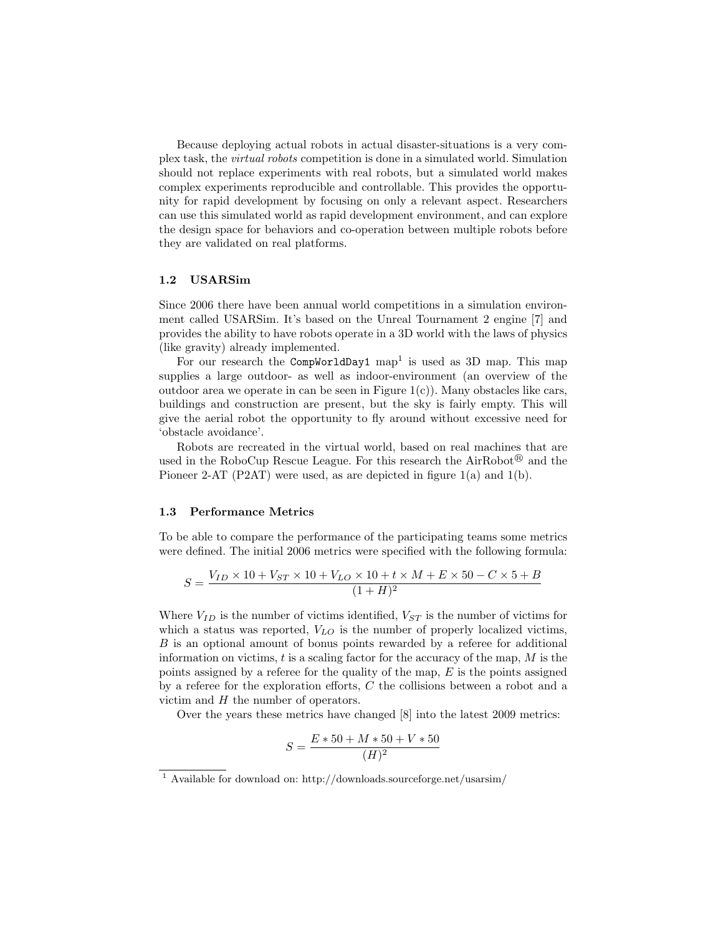Because deploying actual robots in actual disaster-situations is a very complex task, the virtual robots competition is done in a simulated world. Simulation should not replace experiments with real robots, but a simulated world makes complex experiments reproducible and controllable. This provides the opportunity for rapid development by focusing on only a relevant aspect. Researchers can use this simulated world as rapid development environment, and can explore the design space for behaviors and co-operation between multiple robots before they are validated on real platforms.

#### 1.2 USARSim

Since 2006 there have been annual world competitions in a simulation environment called USARSim. It's based on the Unreal Tournament 2 engine [7] and provides the ability to have robots operate in a 3D world with the laws of physics (like gravity) already implemented.

For our research the CompWorldDay1 map<sup>1</sup> is used as 3D map. This map supplies a large outdoor- as well as indoor-environment (an overview of the outdoor area we operate in can be seen in Figure  $1(c)$ ). Many obstacles like cars, buildings and construction are present, but the sky is fairly empty. This will give the aerial robot the opportunity to fly around without excessive need for 'obstacle avoidance'.

Robots are recreated in the virtual world, based on real machines that are used in the RoboCup Rescue League. For this research the  $AirRobot^{\textcircled{\textcirc}}}$  and the Pioneer 2-AT (P2AT) were used, as are depicted in figure 1(a) and 1(b).

#### 1.3 Performance Metrics

To be able to compare the performance of the participating teams some metrics were defined. The initial 2006 metrics were specified with the following formula:

$$
S = \frac{V_{ID} \times 10 + V_{ST} \times 10 + V_{LO} \times 10 + t \times M + E \times 50 - C \times 5 + B}{(1 + H)^2}
$$

Where  $V_{ID}$  is the number of victims identified,  $V_{ST}$  is the number of victims for which a status was reported,  $V_{LO}$  is the number of properly localized victims, B is an optional amount of bonus points rewarded by a referee for additional information on victims,  $t$  is a scaling factor for the accuracy of the map,  $M$  is the points assigned by a referee for the quality of the map,  $E$  is the points assigned by a referee for the exploration efforts, C the collisions between a robot and a victim and H the number of operators.

Over the years these metrics have changed [8] into the latest 2009 metrics:

$$
S = \frac{E * 50 + M * 50 + V * 50}{(H)^2}
$$

<sup>1</sup> Available for download on: http://downloads.sourceforge.net/usarsim/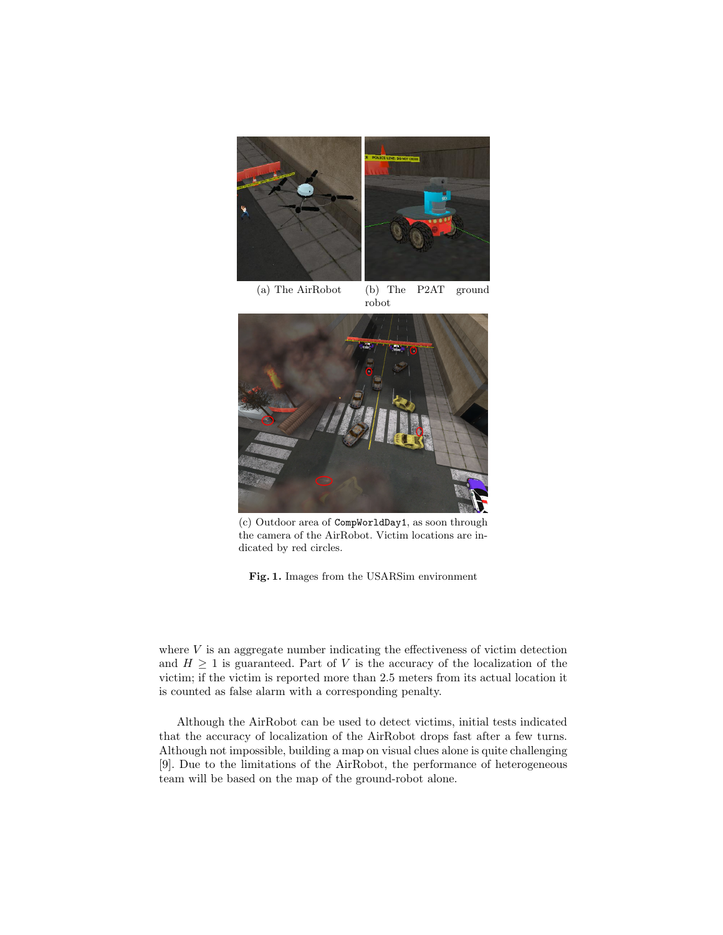

robot

(a) The AirRobot (b) The P2AT ground



(c) Outdoor area of CompWorldDay1, as soon through the camera of the AirRobot. Victim locations are indicated by red circles.

Fig. 1. Images from the USARSim environment

where  $V$  is an aggregate number indicating the effectiveness of victim detection and  $H > 1$  is guaranteed. Part of V is the accuracy of the localization of the victim; if the victim is reported more than 2.5 meters from its actual location it is counted as false alarm with a corresponding penalty.

Although the AirRobot can be used to detect victims, initial tests indicated that the accuracy of localization of the AirRobot drops fast after a few turns. Although not impossible, building a map on visual clues alone is quite challenging [9]. Due to the limitations of the AirRobot, the performance of heterogeneous team will be based on the map of the ground-robot alone.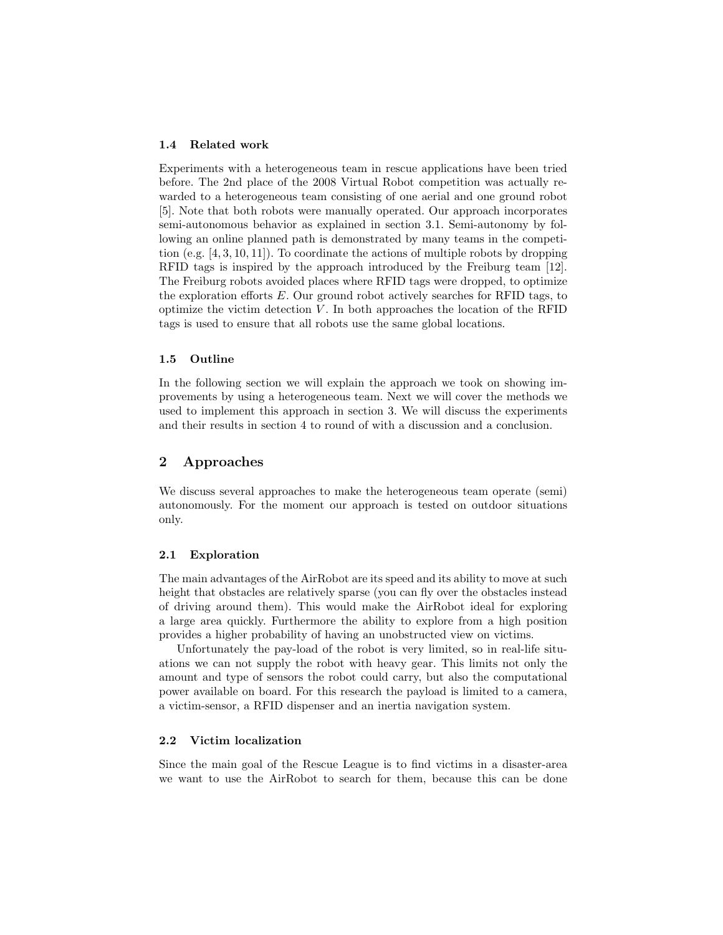#### 1.4 Related work

Experiments with a heterogeneous team in rescue applications have been tried before. The 2nd place of the 2008 Virtual Robot competition was actually rewarded to a heterogeneous team consisting of one aerial and one ground robot [5]. Note that both robots were manually operated. Our approach incorporates semi-autonomous behavior as explained in section 3.1. Semi-autonomy by following an online planned path is demonstrated by many teams in the competition (e.g. [4, 3, 10, 11]). To coordinate the actions of multiple robots by dropping RFID tags is inspired by the approach introduced by the Freiburg team [12]. The Freiburg robots avoided places where RFID tags were dropped, to optimize the exploration efforts E. Our ground robot actively searches for RFID tags, to optimize the victim detection  $V$ . In both approaches the location of the RFID tags is used to ensure that all robots use the same global locations.

### 1.5 Outline

In the following section we will explain the approach we took on showing improvements by using a heterogeneous team. Next we will cover the methods we used to implement this approach in section 3. We will discuss the experiments and their results in section 4 to round of with a discussion and a conclusion.

## 2 Approaches

We discuss several approaches to make the heterogeneous team operate (semi) autonomously. For the moment our approach is tested on outdoor situations only.

#### 2.1 Exploration

The main advantages of the AirRobot are its speed and its ability to move at such height that obstacles are relatively sparse (you can fly over the obstacles instead of driving around them). This would make the AirRobot ideal for exploring a large area quickly. Furthermore the ability to explore from a high position provides a higher probability of having an unobstructed view on victims.

Unfortunately the pay-load of the robot is very limited, so in real-life situations we can not supply the robot with heavy gear. This limits not only the amount and type of sensors the robot could carry, but also the computational power available on board. For this research the payload is limited to a camera, a victim-sensor, a RFID dispenser and an inertia navigation system.

### 2.2 Victim localization

Since the main goal of the Rescue League is to find victims in a disaster-area we want to use the AirRobot to search for them, because this can be done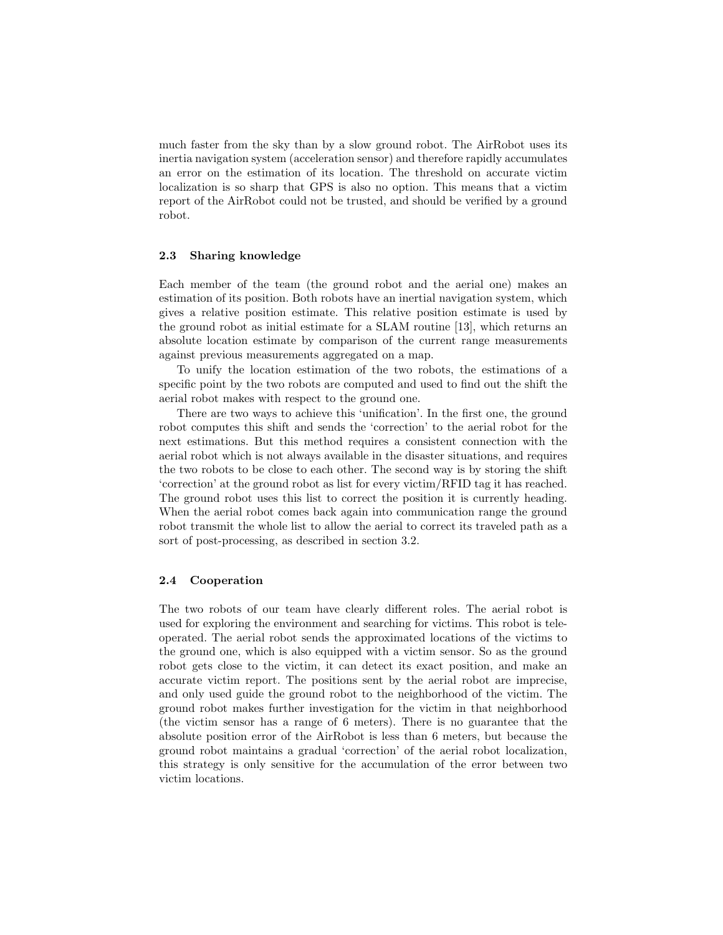much faster from the sky than by a slow ground robot. The AirRobot uses its inertia navigation system (acceleration sensor) and therefore rapidly accumulates an error on the estimation of its location. The threshold on accurate victim localization is so sharp that GPS is also no option. This means that a victim report of the AirRobot could not be trusted, and should be verified by a ground robot.

### 2.3 Sharing knowledge

Each member of the team (the ground robot and the aerial one) makes an estimation of its position. Both robots have an inertial navigation system, which gives a relative position estimate. This relative position estimate is used by the ground robot as initial estimate for a SLAM routine [13], which returns an absolute location estimate by comparison of the current range measurements against previous measurements aggregated on a map.

To unify the location estimation of the two robots, the estimations of a specific point by the two robots are computed and used to find out the shift the aerial robot makes with respect to the ground one.

There are two ways to achieve this 'unification'. In the first one, the ground robot computes this shift and sends the 'correction' to the aerial robot for the next estimations. But this method requires a consistent connection with the aerial robot which is not always available in the disaster situations, and requires the two robots to be close to each other. The second way is by storing the shift 'correction' at the ground robot as list for every victim/RFID tag it has reached. The ground robot uses this list to correct the position it is currently heading. When the aerial robot comes back again into communication range the ground robot transmit the whole list to allow the aerial to correct its traveled path as a sort of post-processing, as described in section 3.2.

### 2.4 Cooperation

The two robots of our team have clearly different roles. The aerial robot is used for exploring the environment and searching for victims. This robot is teleoperated. The aerial robot sends the approximated locations of the victims to the ground one, which is also equipped with a victim sensor. So as the ground robot gets close to the victim, it can detect its exact position, and make an accurate victim report. The positions sent by the aerial robot are imprecise, and only used guide the ground robot to the neighborhood of the victim. The ground robot makes further investigation for the victim in that neighborhood (the victim sensor has a range of 6 meters). There is no guarantee that the absolute position error of the AirRobot is less than 6 meters, but because the ground robot maintains a gradual 'correction' of the aerial robot localization, this strategy is only sensitive for the accumulation of the error between two victim locations.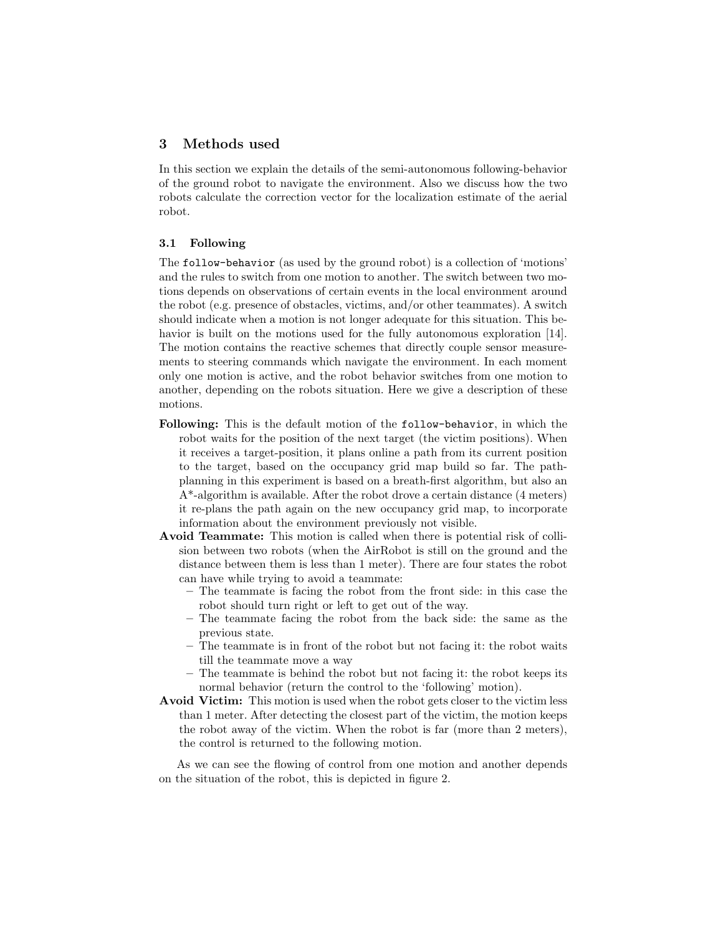## 3 Methods used

In this section we explain the details of the semi-autonomous following-behavior of the ground robot to navigate the environment. Also we discuss how the two robots calculate the correction vector for the localization estimate of the aerial robot.

### 3.1 Following

The follow-behavior (as used by the ground robot) is a collection of 'motions' and the rules to switch from one motion to another. The switch between two motions depends on observations of certain events in the local environment around the robot (e.g. presence of obstacles, victims, and/or other teammates). A switch should indicate when a motion is not longer adequate for this situation. This behavior is built on the motions used for the fully autonomous exploration [14]. The motion contains the reactive schemes that directly couple sensor measurements to steering commands which navigate the environment. In each moment only one motion is active, and the robot behavior switches from one motion to another, depending on the robots situation. Here we give a description of these motions.

- Following: This is the default motion of the follow-behavior, in which the robot waits for the position of the next target (the victim positions). When it receives a target-position, it plans online a path from its current position to the target, based on the occupancy grid map build so far. The pathplanning in this experiment is based on a breath-first algorithm, but also an A\*-algorithm is available. After the robot drove a certain distance (4 meters) it re-plans the path again on the new occupancy grid map, to incorporate information about the environment previously not visible.
- Avoid Teammate: This motion is called when there is potential risk of collision between two robots (when the AirRobot is still on the ground and the distance between them is less than 1 meter). There are four states the robot can have while trying to avoid a teammate:
	- The teammate is facing the robot from the front side: in this case the robot should turn right or left to get out of the way.
	- The teammate facing the robot from the back side: the same as the previous state.
	- The teammate is in front of the robot but not facing it: the robot waits till the teammate move a way
	- The teammate is behind the robot but not facing it: the robot keeps its normal behavior (return the control to the 'following' motion).
- Avoid Victim: This motion is used when the robot gets closer to the victim less than 1 meter. After detecting the closest part of the victim, the motion keeps the robot away of the victim. When the robot is far (more than 2 meters), the control is returned to the following motion.

As we can see the flowing of control from one motion and another depends on the situation of the robot, this is depicted in figure 2.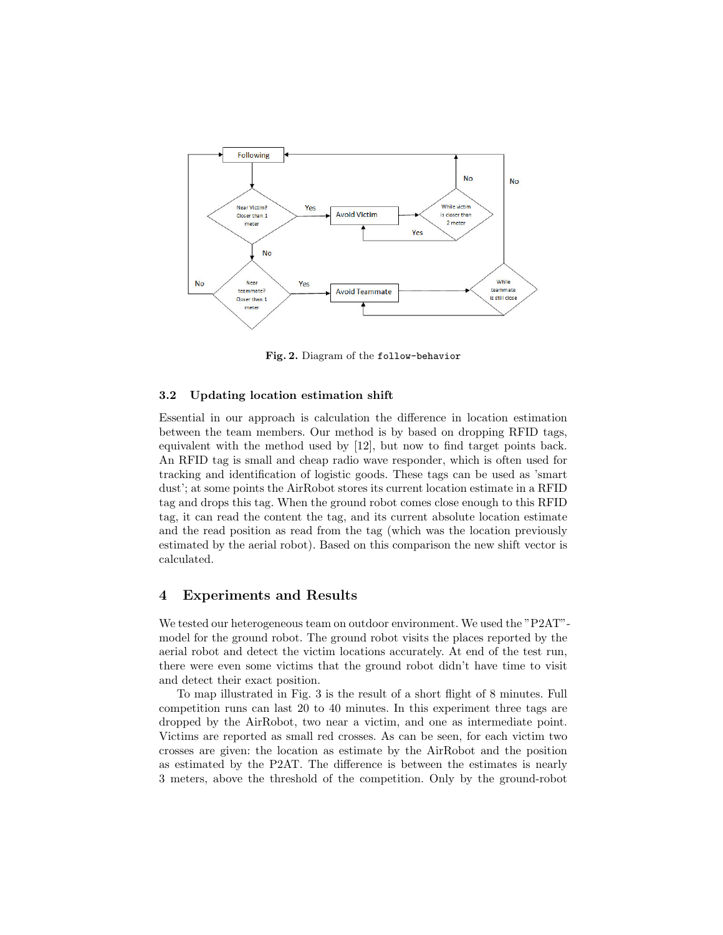

Fig. 2. Diagram of the follow-behavior

#### 3.2 Updating location estimation shift

Essential in our approach is calculation the difference in location estimation between the team members. Our method is by based on dropping RFID tags, equivalent with the method used by [12], but now to find target points back. An RFID tag is small and cheap radio wave responder, which is often used for tracking and identification of logistic goods. These tags can be used as 'smart dust'; at some points the AirRobot stores its current location estimate in a RFID tag and drops this tag. When the ground robot comes close enough to this RFID tag, it can read the content the tag, and its current absolute location estimate and the read position as read from the tag (which was the location previously estimated by the aerial robot). Based on this comparison the new shift vector is calculated.

## 4 Experiments and Results

We tested our heterogeneous team on outdoor environment. We used the "P2AT" model for the ground robot. The ground robot visits the places reported by the aerial robot and detect the victim locations accurately. At end of the test run, there were even some victims that the ground robot didn't have time to visit and detect their exact position.

To map illustrated in Fig. 3 is the result of a short flight of 8 minutes. Full competition runs can last 20 to 40 minutes. In this experiment three tags are dropped by the AirRobot, two near a victim, and one as intermediate point. Victims are reported as small red crosses. As can be seen, for each victim two crosses are given: the location as estimate by the AirRobot and the position as estimated by the P2AT. The difference is between the estimates is nearly 3 meters, above the threshold of the competition. Only by the ground-robot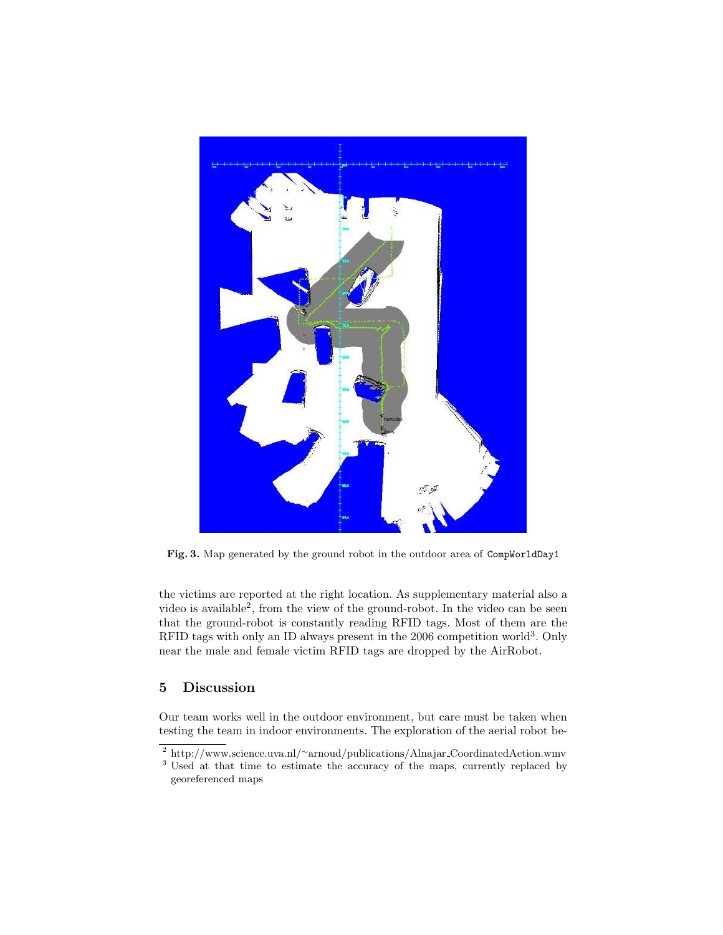

Fig. 3. Map generated by the ground robot in the outdoor area of CompWorldDay1

the victims are reported at the right location. As supplementary material also a video is available<sup>2</sup>, from the view of the ground-robot. In the video can be seen that the ground-robot is constantly reading RFID tags. Most of them are the RFID tags with only an ID always present in the 2006 competition world<sup>3</sup>. Only near the male and female victim RFID tags are dropped by the AirRobot.

## 5 Discussion

Our team works well in the outdoor environment, but care must be taken when testing the team in indoor environments. The exploration of the aerial robot be-

<sup>2</sup> http://www.science.uva.nl/<sup>∼</sup>arnoud/publications/Alnajar CoordinatedAction.wmv

<sup>&</sup>lt;sup>3</sup> Used at that time to estimate the accuracy of the maps, currently replaced by georeferenced maps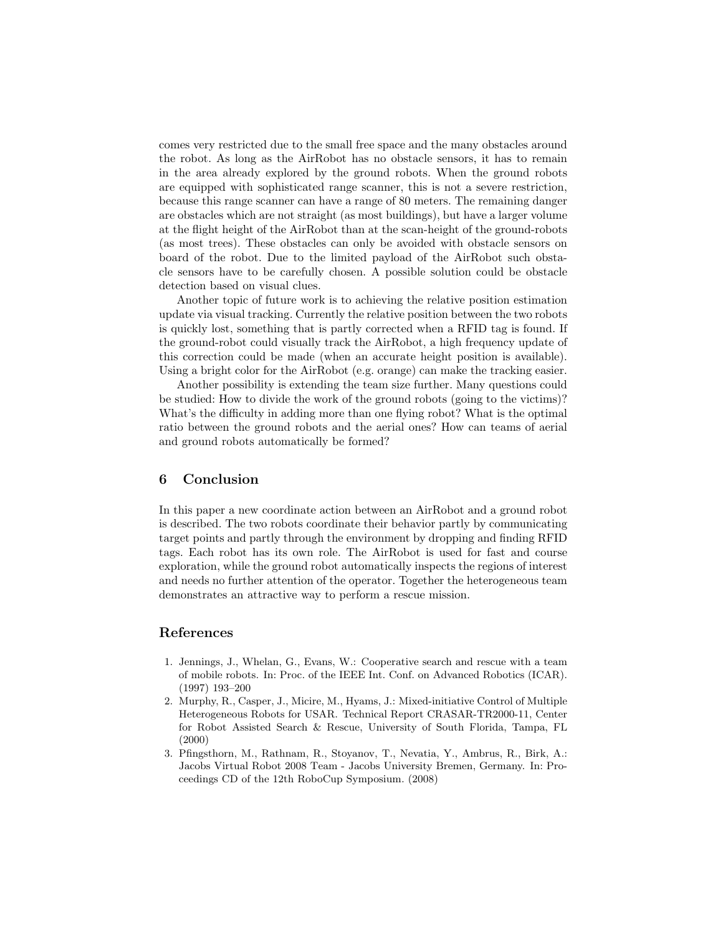comes very restricted due to the small free space and the many obstacles around the robot. As long as the AirRobot has no obstacle sensors, it has to remain in the area already explored by the ground robots. When the ground robots are equipped with sophisticated range scanner, this is not a severe restriction, because this range scanner can have a range of 80 meters. The remaining danger are obstacles which are not straight (as most buildings), but have a larger volume at the flight height of the AirRobot than at the scan-height of the ground-robots (as most trees). These obstacles can only be avoided with obstacle sensors on board of the robot. Due to the limited payload of the AirRobot such obstacle sensors have to be carefully chosen. A possible solution could be obstacle detection based on visual clues.

Another topic of future work is to achieving the relative position estimation update via visual tracking. Currently the relative position between the two robots is quickly lost, something that is partly corrected when a RFID tag is found. If the ground-robot could visually track the AirRobot, a high frequency update of this correction could be made (when an accurate height position is available). Using a bright color for the AirRobot (e.g. orange) can make the tracking easier.

Another possibility is extending the team size further. Many questions could be studied: How to divide the work of the ground robots (going to the victims)? What's the difficulty in adding more than one flying robot? What is the optimal ratio between the ground robots and the aerial ones? How can teams of aerial and ground robots automatically be formed?

## 6 Conclusion

In this paper a new coordinate action between an AirRobot and a ground robot is described. The two robots coordinate their behavior partly by communicating target points and partly through the environment by dropping and finding RFID tags. Each robot has its own role. The AirRobot is used for fast and course exploration, while the ground robot automatically inspects the regions of interest and needs no further attention of the operator. Together the heterogeneous team demonstrates an attractive way to perform a rescue mission.

## References

- 1. Jennings, J., Whelan, G., Evans, W.: Cooperative search and rescue with a team of mobile robots. In: Proc. of the IEEE Int. Conf. on Advanced Robotics (ICAR). (1997) 193–200
- 2. Murphy, R., Casper, J., Micire, M., Hyams, J.: Mixed-initiative Control of Multiple Heterogeneous Robots for USAR. Technical Report CRASAR-TR2000-11, Center for Robot Assisted Search & Rescue, University of South Florida, Tampa, FL (2000)
- 3. Pfingsthorn, M., Rathnam, R., Stoyanov, T., Nevatia, Y., Ambrus, R., Birk, A.: Jacobs Virtual Robot 2008 Team - Jacobs University Bremen, Germany. In: Proceedings CD of the 12th RoboCup Symposium. (2008)